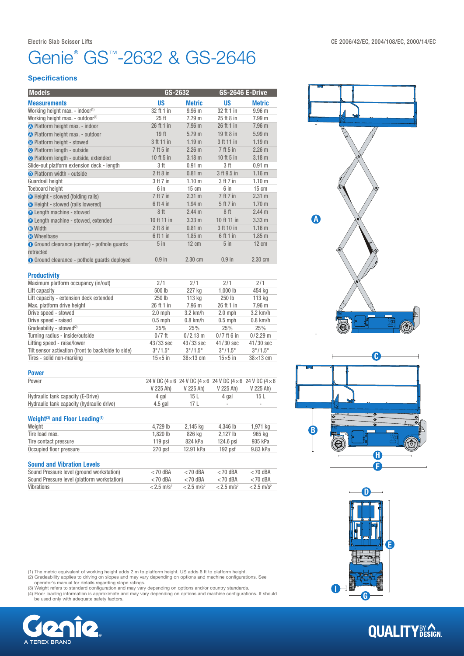## enie® GS™-2632 & GS-2646

#### **Specifications**

| <b>Models</b>                                       |                  | GS-2632           |               | GS-2646 E-Drive   |  |  |
|-----------------------------------------------------|------------------|-------------------|---------------|-------------------|--|--|
| <b>Measurements</b>                                 | <b>US</b>        | <b>Metric</b>     | <b>US</b>     | <b>Metric</b>     |  |  |
| Working height max. - indoor <sup>(1)</sup>         | 32 ft 1 in       | 9.96 <sub>m</sub> | 32 ft 1 in    | 9.96 <sub>m</sub> |  |  |
| Working height max. - outdoor(1)                    | 25 <sub>ft</sub> | 7.79 <sub>m</sub> | 25 ft 8 in    | 7.99 m            |  |  |
| <b>O</b> Platform height max. - indoor              | 26 ft 1 in       | 7.96 <sub>m</sub> | 26 ft 1 in    | 7.96 m            |  |  |
| <b>A</b> Platform height max. - outdoor             | 19 <sub>ft</sub> | 5.79 m            | 19 ft 8 in    | 5.99 <sub>m</sub> |  |  |
| <b>B</b> Platform height - stowed                   | 3 ft 11 in       | 1.19 <sub>m</sub> | 3 ft 11 in    | 1.19 <sub>m</sub> |  |  |
| <b>O</b> Platform length - outside                  | 7 ft 5 in        | 2.26 m            | $7$ ft 5 in   | 2.26 m            |  |  |
| <b>O</b> Platform length - outside, extended        | 10 ft 5 in       | $3.18$ m          | 10 ft 5 in    | $3.18$ m          |  |  |
| Slide-out platform extension deck - length          | 3 ft             | $0.91$ m          | 3 ft          | $0.91$ m          |  |  |
| <b>O</b> Platform width - outside                   | $2$ ft $8$ in    | $0.81$ m          | 3 ft 9.5 in   | 1.16 <sub>m</sub> |  |  |
| Guardrail height                                    | 3 ft 7 in        | 1.10 <sub>m</sub> | 3 ft 7 in     | 1.10 <sub>m</sub> |  |  |
| <b>Toeboard height</b>                              | 6 in             | $15 \text{ cm}$   | 6 in          | $15 \text{ cm}$   |  |  |
| <b>B</b> Height - stowed (folding rails)            | 7 ft 7 in        | 2.31 m            | 7 ft 7 in     | 2.31 m            |  |  |
| <b>B</b> Height - stowed (rails lowered)            | 6 ft 4 in        | $1.94$ m          | 5 ft 7 in     | 1.70 <sub>m</sub> |  |  |
| <b>B</b> Length machine - stowed                    | 8 ft             | 2.44 m            | 8 ft          | 2.44 m            |  |  |
| <b>B</b> Length machine - stowed, extended          | 10 ft 11 in      | 3.33 m            | 10 ft 11 in   | 3.33 m            |  |  |
| <b>O</b> Width                                      | $2$ ft $8$ in    | 0.81 m            | 3 ft 10 in    | 1.16 <sub>m</sub> |  |  |
| <b>O</b> Wheelbase                                  | 6 ft 1 in        | $1.85$ m          | 6ft1in        | $1.85$ m          |  |  |
| <b>O</b> Ground clearance (center) - pothole guards | $5$ in           | $12 \text{ cm}$   | $5$ in        | $12 \text{ cm}$   |  |  |
| retracted                                           |                  |                   |               |                   |  |  |
| <b>O</b> Ground clearance - pothole guards deployed | $0.9$ in         | 2.30 cm           | $0.9$ in      | 2.30 cm           |  |  |
|                                                     |                  |                   |               |                   |  |  |
| <b>Productivity</b>                                 |                  |                   |               |                   |  |  |
| Maximum platform occupancy (in/out)                 | 2/1              | 2/1               | 2/1           | 2/1               |  |  |
| Lift capacity                                       | 500 lb           | 227 kg            | $1.000$ lb    | 454 kg            |  |  |
| Lift capacity - extension deck extended             | 250 lb           | 113 kg            | 250 lb        | 113 kg            |  |  |
| Max. platform drive height                          | 26 ft 1 in       | 7.96 m            | 26 ft 1 in    | 7.96 m            |  |  |
| Drive speed - stowed                                | $2.0$ mph        | 3.2 km/h          | $2.0$ mph     | 3.2 km/h          |  |  |
| Drive speed - raised                                | $0.5$ mph        | $0.8$ km/h        | $0.5$ mph     | $0.8$ km/h        |  |  |
| Gradeability - stowed <sup>(2)</sup>                | 25%              | 25%               | 25%           | 25%               |  |  |
| Turning radius - inside/outside                     | $0/7$ ft         | $0/2.13$ m        | $0/7$ ft 6 in | $0/2.29$ m        |  |  |
| Lifting speed - raise/lower                         | 43/33 sec        | $43/33$ sec       | 41/30 sec     | 41/30 sec         |  |  |



Tilt sensor activation (front to back/side to side)  $3^{\circ}/1.5^{\circ}$   $3^{\circ}/1.5^{\circ}$   $3^{\circ}/1.5^{\circ}$   $3^{\circ}/1.5^{\circ}$ 

### Weight<sup>(3)</sup> and Floor Loading<sup>(4)</sup>

| Weight                  | 4.729 lb   | 2.145 kg  | 4.346 lb   | 1.971 ka |
|-------------------------|------------|-----------|------------|----------|
| Tire load max.          | $1.820$ lb | 826 ka    | $2.127$ lb | 965 ka   |
| Tire contact pressure   | $119$ psi  | 824 kPa   | 124.6 psi  | 935 kPa  |
| Occupied floor pressure | 270 psf    | 12.91 kPa | $192$ psf  | 9.83 kPa |

## Sound and Vibration Levels

| Sound Pressure level (ground workstation)   | $<$ 70 dBA               | $<$ 70 dBA               | $<$ 70 dBA               | $<$ 70 dBA               |
|---------------------------------------------|--------------------------|--------------------------|--------------------------|--------------------------|
| Sound Pressure level (platform workstation) | $<$ 70 dBA               | $<$ 70 dBA               | $<$ 70 dBA               | $<$ 70 dBA               |
| Vibrations                                  | $< 2.5$ m/s <sup>2</sup> | $< 2.5$ m/s <sup>2</sup> | $< 2.5$ m/s <sup>2</sup> | $< 2.5$ m/s <sup>2</sup> |

(1) The metric equivalent of working height adds 2 m to platform height. US adds 6 ft to platform height.<br>(2) Gradeability applies to driving on slopes and may vary depending on options and machine configurations. See<br>oper

(4) Floor loading information is approximate and may vary depending on options and machine configurations. It should be used only with adequate safety factors.









# **QUALITY**BY AGN